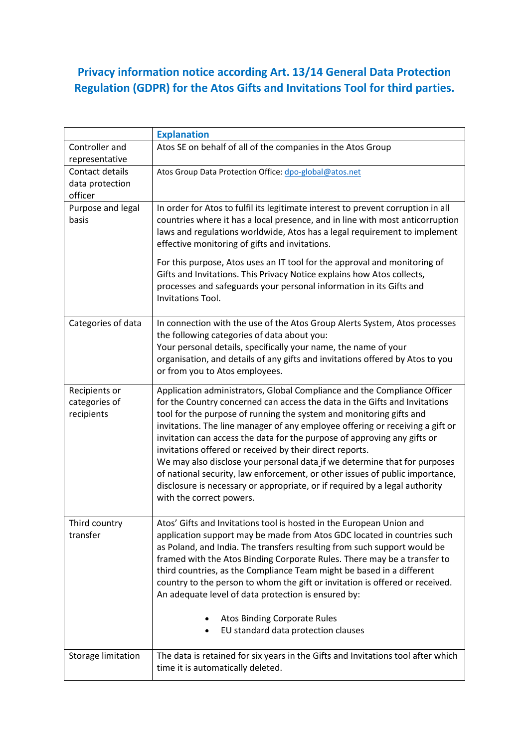## **Privacy information notice according Art. 13/14 General Data Protection Regulation (GDPR) for the Atos Gifts and Invitations Tool for third parties.**

|                                               | <b>Explanation</b>                                                                                                                                                                                                                                                                                                                                                                                                                                                                                                                                                                                                                                                                                                             |
|-----------------------------------------------|--------------------------------------------------------------------------------------------------------------------------------------------------------------------------------------------------------------------------------------------------------------------------------------------------------------------------------------------------------------------------------------------------------------------------------------------------------------------------------------------------------------------------------------------------------------------------------------------------------------------------------------------------------------------------------------------------------------------------------|
| Controller and<br>representative              | Atos SE on behalf of all of the companies in the Atos Group                                                                                                                                                                                                                                                                                                                                                                                                                                                                                                                                                                                                                                                                    |
| Contact details<br>data protection<br>officer | Atos Group Data Protection Office: dpo-global@atos.net                                                                                                                                                                                                                                                                                                                                                                                                                                                                                                                                                                                                                                                                         |
| Purpose and legal<br>basis                    | In order for Atos to fulfil its legitimate interest to prevent corruption in all<br>countries where it has a local presence, and in line with most anticorruption<br>laws and regulations worldwide, Atos has a legal requirement to implement<br>effective monitoring of gifts and invitations.                                                                                                                                                                                                                                                                                                                                                                                                                               |
|                                               | For this purpose, Atos uses an IT tool for the approval and monitoring of<br>Gifts and Invitations. This Privacy Notice explains how Atos collects,<br>processes and safeguards your personal information in its Gifts and<br>Invitations Tool.                                                                                                                                                                                                                                                                                                                                                                                                                                                                                |
| Categories of data                            | In connection with the use of the Atos Group Alerts System, Atos processes<br>the following categories of data about you:<br>Your personal details, specifically your name, the name of your<br>organisation, and details of any gifts and invitations offered by Atos to you<br>or from you to Atos employees.                                                                                                                                                                                                                                                                                                                                                                                                                |
| Recipients or<br>categories of<br>recipients  | Application administrators, Global Compliance and the Compliance Officer<br>for the Country concerned can access the data in the Gifts and Invitations<br>tool for the purpose of running the system and monitoring gifts and<br>invitations. The line manager of any employee offering or receiving a gift or<br>invitation can access the data for the purpose of approving any gifts or<br>invitations offered or received by their direct reports.<br>We may also disclose your personal data if we determine that for purposes<br>of national security, law enforcement, or other issues of public importance,<br>disclosure is necessary or appropriate, or if required by a legal authority<br>with the correct powers. |
| Third country<br>transfer                     | Atos' Gifts and Invitations tool is hosted in the European Union and<br>application support may be made from Atos GDC located in countries such<br>as Poland, and India. The transfers resulting from such support would be<br>framed with the Atos Binding Corporate Rules. There may be a transfer to<br>third countries, as the Compliance Team might be based in a different<br>country to the person to whom the gift or invitation is offered or received.<br>An adequate level of data protection is ensured by:<br><b>Atos Binding Corporate Rules</b><br>EU standard data protection clauses                                                                                                                          |
| Storage limitation                            | The data is retained for six years in the Gifts and Invitations tool after which<br>time it is automatically deleted.                                                                                                                                                                                                                                                                                                                                                                                                                                                                                                                                                                                                          |